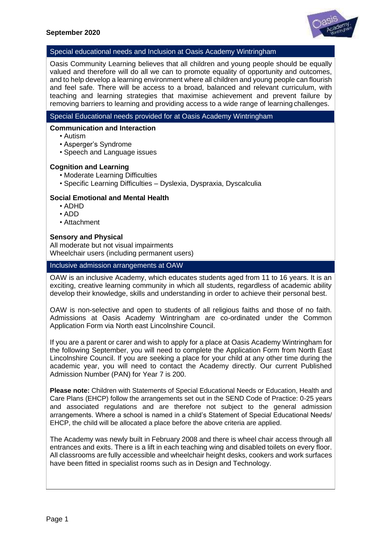

#### Special educational needs and Inclusion at Oasis Academy Wintringham

Oasis Community Learning believes that all children and young people should be equally valued and therefore will do all we can to promote equality of opportunity and outcomes, and to help develop a learning environment where all children and young people can flourish and feel safe. There will be access to a broad, balanced and relevant curriculum, with teaching and learning strategies that maximise achievement and prevent failure by removing barriers to learning and providing access to a wide range of learning challenges.

### Special Educational needs provided for at Oasis Academy Wintringham

#### **Communication and Interaction**

- Autism
- Asperger's Syndrome
- Speech and Language issues

#### **Cognition and Learning**

- Moderate Learning Difficulties
- Specific Learning Difficulties Dyslexia, Dyspraxia, Dyscalculia

#### **Social Emotional and Mental Health**

- ADHD
- ADD
- Attachment

#### **Sensory and Physical**

All moderate but not visual impairments Wheelchair users (including permanent users)

#### Inclusive admission arrangements at OAW

OAW is an inclusive Academy, which educates students aged from 11 to 16 years. It is an exciting, creative learning community in which all students, regardless of academic ability develop their knowledge, skills and understanding in order to achieve their personal best.

OAW is non-selective and open to students of all religious faiths and those of no faith. Admissions at Oasis Academy Wintringham are co-ordinated under the Common Application Form via North east Lincolnshire Council.

If you are a parent or carer and wish to apply for a place at Oasis Academy Wintringham for the following September, you will need to complete the Application Form from North East Lincolnshire Council. If you are seeking a place for your child at any other time during the academic year, you will need to contact the Academy directly. Our current Published Admission Number (PAN) for Year 7 is 200.

**Please note:** Children with Statements of Special Educational Needs or Education, Health and Care Plans (EHCP) follow the arrangements set out in the SEND Code of Practice: 0-25 years and associated regulations and are therefore not subject to the general admission arrangements. Where a school is named in a child's Statement of Special Educational Needs/ EHCP, the child will be allocated a place before the above criteria are applied.

The Academy was newly built in February 2008 and there is wheel chair access through all entrances and exits. There is a lift in each teaching wing and disabled toilets on every floor. All classrooms are fully accessible and wheelchair height desks, cookers and work surfaces have been fitted in specialist rooms such as in Design and Technology.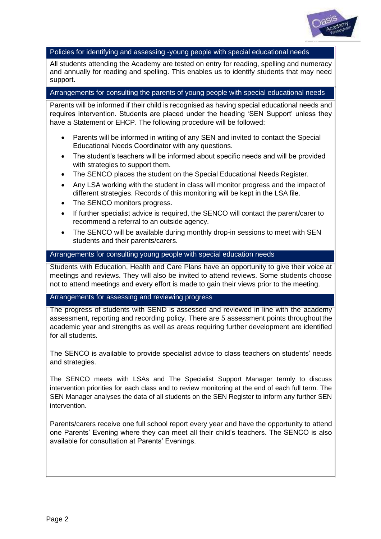

### Policies for identifying and assessing -young people with special educational needs

All students attending the Academy are tested on entry for reading, spelling and numeracy and annually for reading and spelling. This enables us to identify students that may need support.

### Arrangements for consulting the parents of young people with special educational needs

Parents will be informed if their child is recognised as having special educational needs and requires intervention. Students are placed under the heading 'SEN Support' unless they have a Statement or EHCP. The following procedure will be followed:

- Parents will be informed in writing of any SEN and invited to contact the Special Educational Needs Coordinator with any questions.
- The student's teachers will be informed about specific needs and will be provided with strategies to support them.
- The SENCO places the student on the Special Educational Needs Register.
- Any LSA working with the student in class will monitor progress and the impact of different strategies. Records of this monitoring will be kept in the LSA file.
- The SENCO monitors progress.
- If further specialist advice is required, the SENCO will contact the parent/carer to recommend a referral to an outside agency.
- The SENCO will be available during monthly drop-in sessions to meet with SEN students and their parents/carers.

#### Arrangements for consulting young people with special education needs

Students with Education, Health and Care Plans have an opportunity to give their voice at meetings and reviews. They will also be invited to attend reviews. Some students choose not to attend meetings and every effort is made to gain their views prior to the meeting.

### Arrangements for assessing and reviewing progress

The progress of students with SEND is assessed and reviewed in line with the academy assessment, reporting and recording policy. There are 5 assessment points throughoutthe academic year and strengths as well as areas requiring further development are identified for all students.

The SENCO is available to provide specialist advice to class teachers on students' needs and strategies.

The SENCO meets with LSAs and The Specialist Support Manager termly to discuss intervention priorities for each class and to review monitoring at the end of each full term. The SEN Manager analyses the data of all students on the SEN Register to inform any further SEN intervention.

Parents/carers receive one full school report every year and have the opportunity to attend one Parents' Evening where they can meet all their child's teachers. The SENCO is also available for consultation at Parents' Evenings.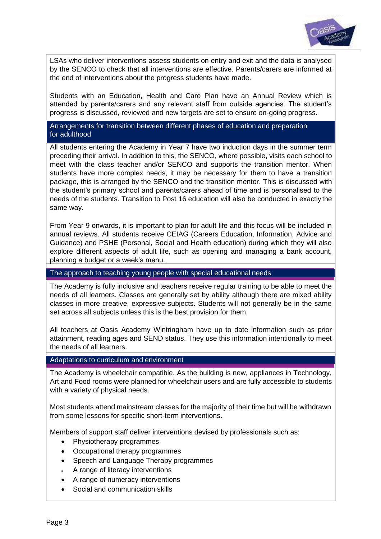

LSAs who deliver interventions assess students on entry and exit and the data is analysed by the SENCO to check that all interventions are effective. Parents/carers are informed at the end of interventions about the progress students have made.

Students with an Education, Health and Care Plan have an Annual Review which is attended by parents/carers and any relevant staff from outside agencies. The student's progress is discussed, reviewed and new targets are set to ensure on-going progress.

Arrangements for transition between different phases of education and preparation for adulthood

All students entering the Academy in Year 7 have two induction days in the summer term preceding their arrival. In addition to this, the SENCO, where possible, visits each school to meet with the class teacher and/or SENCO and supports the transition mentor. When students have more complex needs, it may be necessary for them to have a transition package, this is arranged by the SENCO and the transition mentor. This is discussed with the student's primary school and parents/carers ahead of time and is personalised to the needs of the students. Transition to Post 16 education will also be conducted in exactly the same way.

From Year 9 onwards, it is important to plan for adult life and this focus will be included in annual reviews. All students receive CEIAG (Careers Education, Information, Advice and Guidance) and PSHE (Personal, Social and Health education) during which they will also explore different aspects of adult life, such as opening and managing a bank account, planning a budget or a week's menu.

The approach to teaching young people with special educational needs

The Academy is fully inclusive and teachers receive regular training to be able to meet the needs of all learners. Classes are generally set by ability although there are mixed ability classes in more creative, expressive subjects. Students will not generally be in the same set across all subjects unless this is the best provision for them.

All teachers at Oasis Academy Wintringham have up to date information such as prior attainment, reading ages and SEND status. They use this information intentionally to meet the needs of all learners.

#### Adaptations to curriculum and environment

The Academy is wheelchair compatible. As the building is new, appliances in Technology, Art and Food rooms were planned for wheelchair users and are fully accessible to students with a variety of physical needs.

Most students attend mainstream classes for the majority of their time but will be withdrawn from some lessons for specific short-term interventions.

Members of support staff deliver interventions devised by professionals such as:

- Physiotherapy programmes
- Occupational therapy programmes
- Speech and Language Therapy programmes
- A range of literacy interventions
- A range of numeracy interventions
- Social and communication skills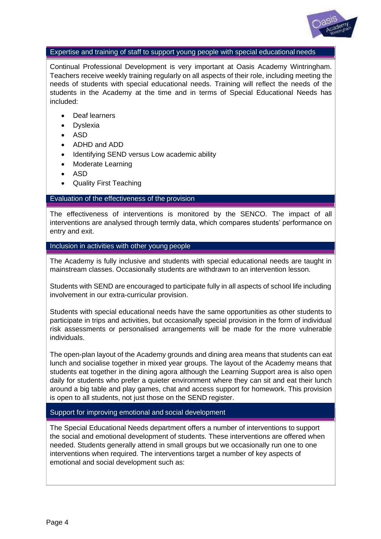

#### Expertise and training of staff to support young people with special educational needs

Continual Professional Development is very important at Oasis Academy Wintringham. Teachers receive weekly training regularly on all aspects of their role, including meeting the needs of students with special educational needs. Training will reflect the needs of the students in the Academy at the time and in terms of Special Educational Needs has included:

- Deaf learners
- **Dyslexia**
- ASD
- ADHD and ADD
- Identifying SEND versus Low academic ability
- Moderate Learning
- ASD
- Quality First Teaching

### Evaluation of the effectiveness of the provision

The effectiveness of interventions is monitored by the SENCO. The impact of all interventions are analysed through termly data, which compares students' performance on entry and exit.

Inclusion in activities with other young people

The Academy is fully inclusive and students with special educational needs are taught in mainstream classes. Occasionally students are withdrawn to an intervention lesson.

Students with SEND are encouraged to participate fully in all aspects of school life including involvement in our extra-curricular provision.

Students with special educational needs have the same opportunities as other students to participate in trips and activities, but occasionally special provision in the form of individual risk assessments or personalised arrangements will be made for the more vulnerable individuals.

The open-plan layout of the Academy grounds and dining area means that students can eat lunch and socialise together in mixed year groups. The layout of the Academy means that students eat together in the dining agora although the Learning Support area is also open daily for students who prefer a quieter environment where they can sit and eat their lunch around a big table and play games, chat and access support for homework. This provision is open to all students, not just those on the SEND register.

### Support for improving emotional and social development

The Special Educational Needs department offers a number of interventions to support the social and emotional development of students. These interventions are offered when needed. Students generally attend in small groups but we occasionally run one to one interventions when required. The interventions target a number of key aspects of emotional and social development such as: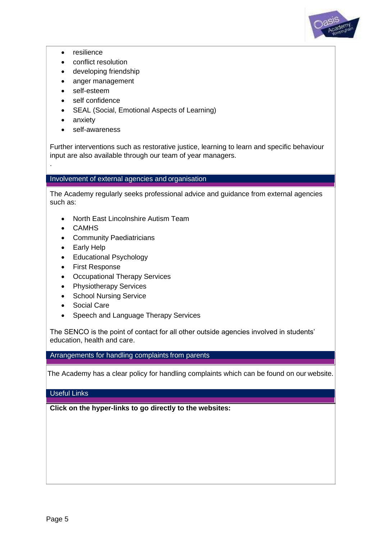

- resilience
- conflict resolution
- developing friendship
- anger management
- self-esteem
- self confidence
- SEAL (Social, Emotional Aspects of Learning)
- anxiety

.

self-awareness

Further interventions such as restorative justice, learning to learn and specific behaviour input are also available through our team of year managers.

### Involvement of external agencies and organisation

The Academy regularly seeks professional advice and guidance from external agencies such as:

- North East Lincolnshire Autism Team
- CAMHS
- Community Paediatricians
- Early Help
- Educational Psychology
- First Response
- Occupational Therapy Services
- Physiotherapy Services
- School Nursing Service
- Social Care
- Speech and Language Therapy Services

The SENCO is the point of contact for all other outside agencies involved in students' education, health and care.

# Arrangements for handling complaints from parents

The Academy has a clear policy for handling complaints which can be found on our website.

### Useful Links

**Click on the hyper-links to go directly to the websites:**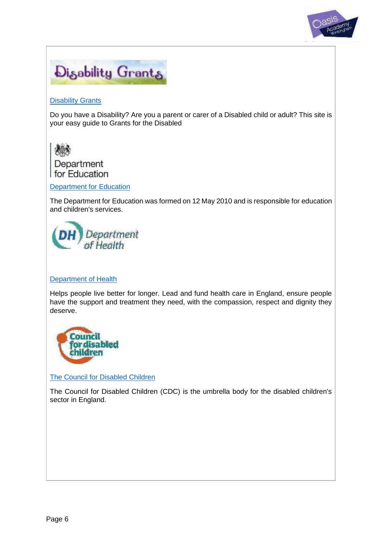



## **[Disability Grants](http://www.disability-grants.org/)**

Do you have a Disability? Are you a parent or carer of a Disabled child or adult? This site is your easy guide to Grants for the Disabled



[Department for Education](https://www.gov.uk/government/organisations/department-for-education)

The Department for Education was formed on 12 May 2010 and is responsible for education and children's services.



### [Department of Health](https://www.gov.uk/government/organisations/department-of-health)

Helps people live better for longer. Lead and fund health care in England, ensure people have the support and treatment they need, with the compassion, respect and dignity they deserve.



[The Council for Disabled Children](http://www.councilfordisabledchildren.org.uk/)

The Council for Disabled Children (CDC) is the umbrella body for the disabled children's sector in England.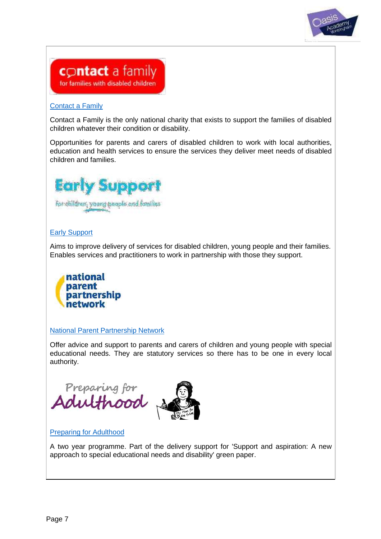



## [Contact a Family](http://www.cafamily.org.uk/)

Contact a Family is the only national charity that exists to support the families of disabled children whatever their condition or disability.

Opportunities for parents and carers of disabled children to work with local authorities, education and health services to ensure the services they deliver meet needs of disabled children and families.



# [Early Support](http://councilfordisabledchildren.org.uk/earlysupport)

Aims to improve delivery of services for disabled children, young people and their families. Enables services and practitioners to work in partnership with those they support.



# [National Parent Partnership Network](http://www.iassnetwork.org.uk/)

Offer advice and support to parents and carers of children and young people with special educational needs. They are statutory services so there has to be one in every local authority.



# [Preparing for Adulthood](http://www.preparingforadulthood.org.uk/)

A two year programme. Part of the delivery support for 'Support and aspiration: A new approach to special educational needs and disability' green paper.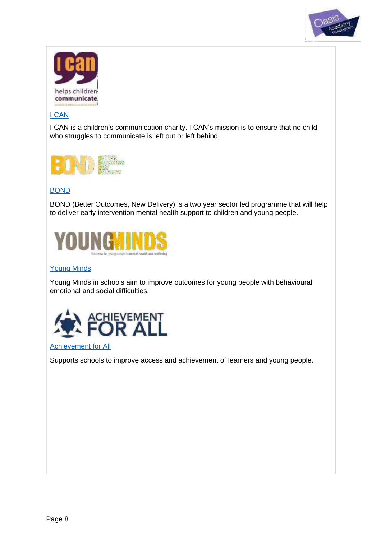



# [I CAN](http://www.ican.org.uk/)

I CAN is a children's communication charity. I CAN's mission is to ensure that no child who struggles to communicate is left out or left behind.



# [BOND](http://www.youngminds.org.uk/training_services/bond_voluntary_sector)

BOND (Better Outcomes, New Delivery) is a two year sector led programme that will help to deliver early intervention mental health support to children and young people.



# [Young Minds](http://www.youngminds.org.uk/training_services/young_minds_in_schools)

Young Minds in schools aim to improve outcomes for young people with behavioural, emotional and social difficulties.



## [Achievement for All](http://afaeducation.org/)

Supports schools to improve access and achievement of learners and young people.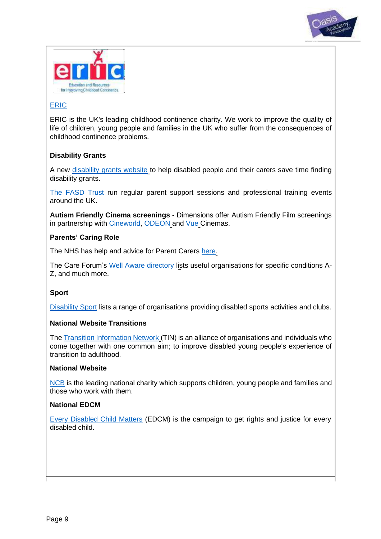



# [ERIC](http://www.eric.org.uk/)

ERIC is the UK's leading childhood continence charity. We work to improve the quality of life of children, young people and families in the UK who suffer from the consequences of childhood continence problems.

# **Disability Grants**

A new [disability grants website](http://www.disability-grants.org/) to help disabled people and their carers save time finding disability grants.

[The FASD Trust](http://www.fasdtrust.co.uk/) run regular parent support sessions and professional training events around the UK.

**Autism Friendly Cinema screenings** - Dimensions offer Autism Friendly Film screenings in partnership with [Cineworld, ODEON](http://www.dimensions-uk.org/support-services/autism-care/autism-friendly-screenings/autism-friendly-screenings-at-cineworld-/) and [Vue](http://www.dimensions-uk.org/support-services/autism-care/autism-friendly-screenings/autism-friendly-screenings-vue/) Cinemas.

## **Parents' Caring Role**

The NHS has help and advice for Parent Carers [here.](http://www.nhs.uk/Conditions/social-care-and-support-guide/Pages/caring-for-a-disabled-child-tips.aspx)

The Care Forum's [Well Aware directory](http://www.wellaware.org.uk/organisations?search%5Borganisation_tag_ids%5D%5B%5D&search%5Borganisation_tag_ids%5D%5B%5D=1390) lists useful organisations for specific conditions A-Z, and much more.

### **Sport**

[Disability Sport](https://www.bristol.gov.uk/museums-parks-sports-culture/disability-sport) lists a range of organisations providing disabled sports activities and clubs.

### **National Website Transitions**

The Transition [Information](http://www.transitioninfonetwork.org.uk/) Network (TIN) is an alliance of organisations and individuals who come together with one common aim; to improve disabled young people's experience of transition to adulthood.

### **National Website**

[NCB](http://www.ncb.org.uk/) is the leading national charity which supports children, young people and families and those who work with them.

### **National EDCM**

[Every Disabled Child Matters](http://www.edcm.org.uk/) (EDCM) is the campaign to get rights and justice for every disabled child.